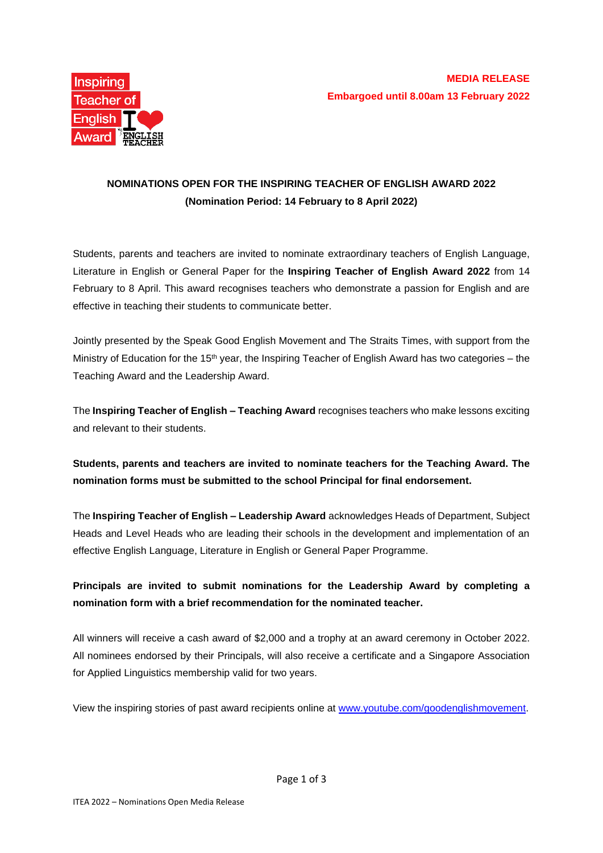

# **NOMINATIONS OPEN FOR THE INSPIRING TEACHER OF ENGLISH AWARD 2022 (Nomination Period: 14 February to 8 April 2022)**

Students, parents and teachers are invited to nominate extraordinary teachers of English Language, Literature in English or General Paper for the **Inspiring Teacher of English Award 2022** from 14 February to 8 April. This award recognises teachers who demonstrate a passion for English and are effective in teaching their students to communicate better.

Jointly presented by the Speak Good English Movement and The Straits Times, with support from the Ministry of Education for the 15<sup>th</sup> year, the Inspiring Teacher of English Award has two categories – the Teaching Award and the Leadership Award.

The **Inspiring Teacher of English – Teaching Award** recognises teachers who make lessons exciting and relevant to their students.

# **Students, parents and teachers are invited to nominate teachers for the Teaching Award. The nomination forms must be submitted to the school Principal for final endorsement.**

The **Inspiring Teacher of English – Leadership Award** acknowledges Heads of Department, Subject Heads and Level Heads who are leading their schools in the development and implementation of an effective English Language, Literature in English or General Paper Programme.

### **Principals are invited to submit nominations for the Leadership Award by completing a nomination form with a brief recommendation for the nominated teacher.**

All winners will receive a cash award of \$2,000 and a trophy at an award ceremony in October 2022. All nominees endorsed by their Principals, will also receive a certificate and a Singapore Association for Applied Linguistics membership valid for two years.

View the inspiring stories of past award recipients online at [www.youtube.com/goodenglishmovement.](http://www.youtube.com/goodenglishmovement)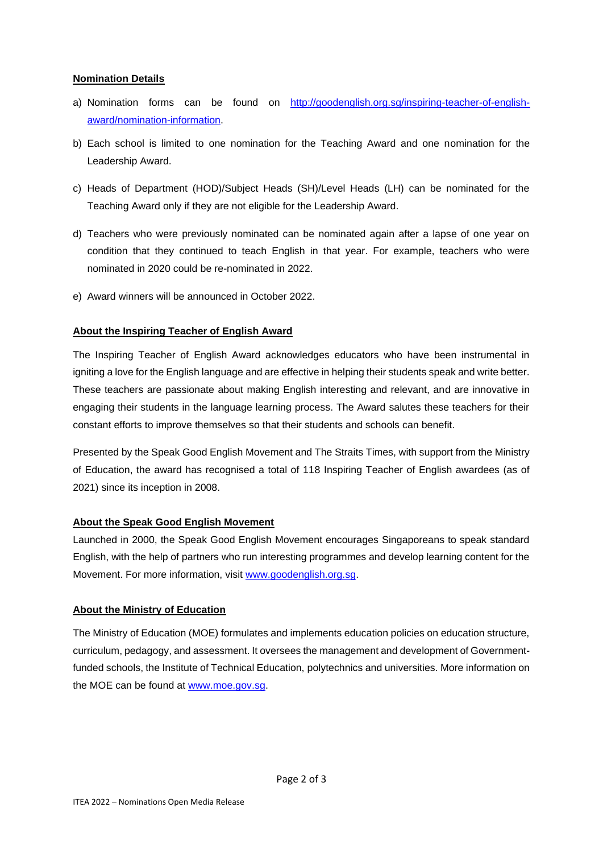### **Nomination Details**

- a) Nomination forms can be found on [http://goodenglish.org.sg/inspiring-teacher-of-english](http://goodenglish.org.sg/inspiring-teacher-of-english-award/nomination-information)[award/nomination-information.](http://goodenglish.org.sg/inspiring-teacher-of-english-award/nomination-information)
- b) Each school is limited to one nomination for the Teaching Award and one nomination for the Leadership Award.
- c) Heads of Department (HOD)/Subject Heads (SH)/Level Heads (LH) can be nominated for the Teaching Award only if they are not eligible for the Leadership Award.
- d) Teachers who were previously nominated can be nominated again after a lapse of one year on condition that they continued to teach English in that year. For example, teachers who were nominated in 2020 could be re-nominated in 2022.
- e) Award winners will be announced in October 2022.

### **About the Inspiring Teacher of English Award**

The Inspiring Teacher of English Award acknowledges educators who have been instrumental in igniting a love for the English language and are effective in helping their students speak and write better. These teachers are passionate about making English interesting and relevant, and are innovative in engaging their students in the language learning process. The Award salutes these teachers for their constant efforts to improve themselves so that their students and schools can benefit.

Presented by the Speak Good English Movement and The Straits Times, with support from the Ministry of Education, the award has recognised a total of 118 Inspiring Teacher of English awardees (as of 2021) since its inception in 2008.

### **About the Speak Good English Movement**

Launched in 2000, the Speak Good English Movement encourages Singaporeans to speak standard English, with the help of partners who run interesting programmes and develop learning content for the Movement. For more information, visit [www.goodenglish.org.sg.](http://www.goodenglish.org.sg/)

### **About the Ministry of Education**

The Ministry of Education (MOE) formulates and implements education policies on education structure, curriculum, pedagogy, and assessment. It oversees the management and development of Governmentfunded schools, the Institute of Technical Education, polytechnics and universities. More information on the MOE can be found at [www.moe.gov.sg.](http://www.moe.gov.sg/)